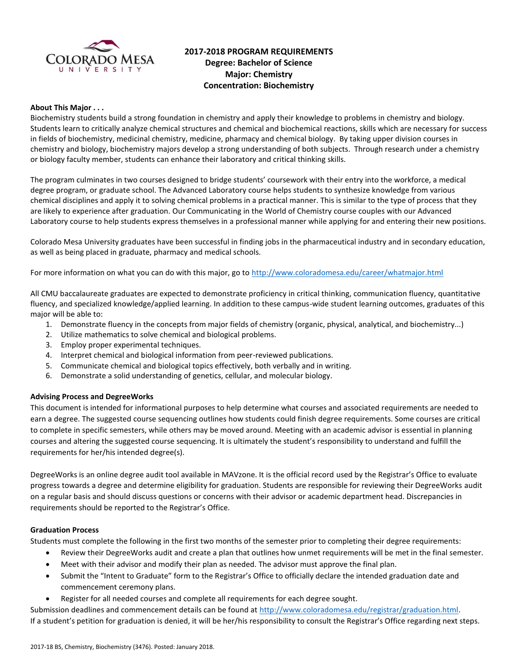

# **2017-2018 PROGRAM REQUIREMENTS Degree: Bachelor of Science Major: Chemistry Concentration: Biochemistry**

#### **About This Major . . .**

Biochemistry students build a strong foundation in chemistry and apply their knowledge to problems in chemistry and biology. Students learn to critically analyze chemical structures and chemical and biochemical reactions, skills which are necessary for success in fields of biochemistry, medicinal chemistry, medicine, pharmacy and chemical biology. By taking upper division courses in chemistry and biology, biochemistry majors develop a strong understanding of both subjects. Through research under a chemistry or biology faculty member, students can enhance their laboratory and critical thinking skills.

The program culminates in two courses designed to bridge students' coursework with their entry into the workforce, a medical degree program, or graduate school. The Advanced Laboratory course helps students to synthesize knowledge from various chemical disciplines and apply it to solving chemical problems in a practical manner. This is similar to the type of process that they are likely to experience after graduation. Our Communicating in the World of Chemistry course couples with our Advanced Laboratory course to help students express themselves in a professional manner while applying for and entering their new positions.

Colorado Mesa University graduates have been successful in finding jobs in the pharmaceutical industry and in secondary education, as well as being placed in graduate, pharmacy and medical schools.

For more information on what you can do with this major, go to<http://www.coloradomesa.edu/career/whatmajor.html>

All CMU baccalaureate graduates are expected to demonstrate proficiency in critical thinking, communication fluency, quantitative fluency, and specialized knowledge/applied learning. In addition to these campus-wide student learning outcomes, graduates of this major will be able to:

- 1. Demonstrate fluency in the concepts from major fields of chemistry (organic, physical, analytical, and biochemistry...)
- 2. Utilize mathematics to solve chemical and biological problems.
- 3. Employ proper experimental techniques.
- 4. Interpret chemical and biological information from peer-reviewed publications.
- 5. Communicate chemical and biological topics effectively, both verbally and in writing.
- 6. Demonstrate a solid understanding of genetics, cellular, and molecular biology.

#### **Advising Process and DegreeWorks**

This document is intended for informational purposes to help determine what courses and associated requirements are needed to earn a degree. The suggested course sequencing outlines how students could finish degree requirements. Some courses are critical to complete in specific semesters, while others may be moved around. Meeting with an academic advisor is essential in planning courses and altering the suggested course sequencing. It is ultimately the student's responsibility to understand and fulfill the requirements for her/his intended degree(s).

DegreeWorks is an online degree audit tool available in MAVzone. It is the official record used by the Registrar's Office to evaluate progress towards a degree and determine eligibility for graduation. Students are responsible for reviewing their DegreeWorks audit on a regular basis and should discuss questions or concerns with their advisor or academic department head. Discrepancies in requirements should be reported to the Registrar's Office.

#### **Graduation Process**

Students must complete the following in the first two months of the semester prior to completing their degree requirements:

- Review their DegreeWorks audit and create a plan that outlines how unmet requirements will be met in the final semester.
- Meet with their advisor and modify their plan as needed. The advisor must approve the final plan.
- Submit the "Intent to Graduate" form to the Registrar's Office to officially declare the intended graduation date and commencement ceremony plans.
- Register for all needed courses and complete all requirements for each degree sought.

Submission deadlines and commencement details can be found at [http://www.coloradomesa.edu/registrar/graduation.html.](http://www.coloradomesa.edu/registrar/graduation.html) If a student's petition for graduation is denied, it will be her/his responsibility to consult the Registrar's Office regarding next steps.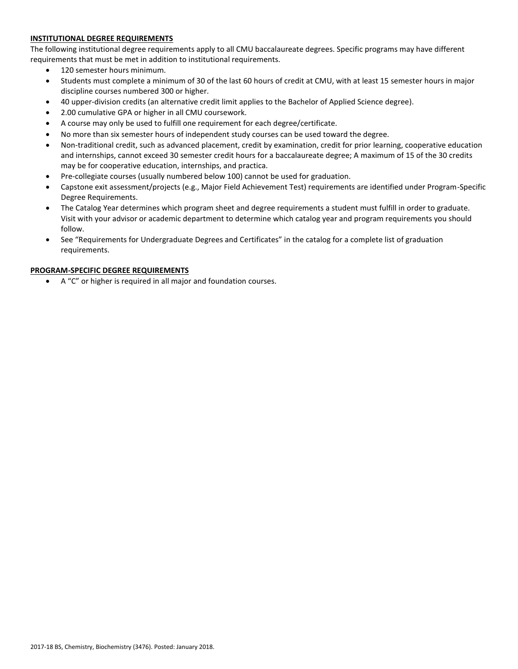### **INSTITUTIONAL DEGREE REQUIREMENTS**

The following institutional degree requirements apply to all CMU baccalaureate degrees. Specific programs may have different requirements that must be met in addition to institutional requirements.

- 120 semester hours minimum.
- Students must complete a minimum of 30 of the last 60 hours of credit at CMU, with at least 15 semester hours in major discipline courses numbered 300 or higher.
- 40 upper-division credits (an alternative credit limit applies to the Bachelor of Applied Science degree).
- 2.00 cumulative GPA or higher in all CMU coursework.
- A course may only be used to fulfill one requirement for each degree/certificate.
- No more than six semester hours of independent study courses can be used toward the degree.
- Non-traditional credit, such as advanced placement, credit by examination, credit for prior learning, cooperative education and internships, cannot exceed 30 semester credit hours for a baccalaureate degree; A maximum of 15 of the 30 credits may be for cooperative education, internships, and practica.
- Pre-collegiate courses (usually numbered below 100) cannot be used for graduation.
- Capstone exit assessment/projects (e.g., Major Field Achievement Test) requirements are identified under Program-Specific Degree Requirements.
- The Catalog Year determines which program sheet and degree requirements a student must fulfill in order to graduate. Visit with your advisor or academic department to determine which catalog year and program requirements you should follow.
- See "Requirements for Undergraduate Degrees and Certificates" in the catalog for a complete list of graduation requirements.

### **PROGRAM-SPECIFIC DEGREE REQUIREMENTS**

A "C" or higher is required in all major and foundation courses.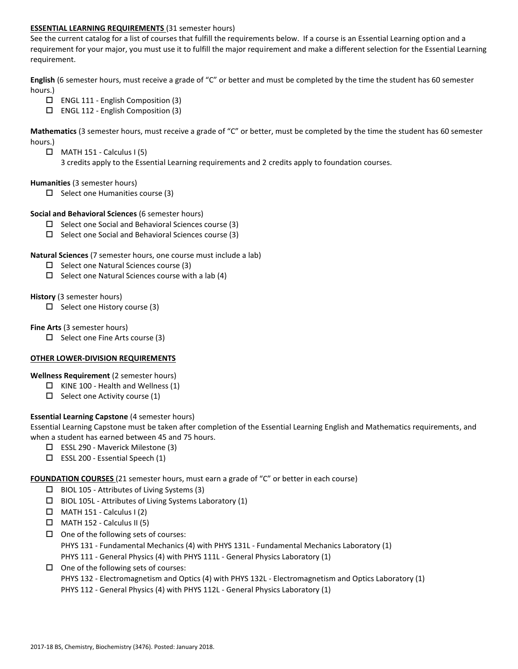#### **ESSENTIAL LEARNING REQUIREMENTS** (31 semester hours)

See the current catalog for a list of courses that fulfill the requirements below. If a course is an Essential Learning option and a requirement for your major, you must use it to fulfill the major requirement and make a different selection for the Essential Learning requirement.

**English** (6 semester hours, must receive a grade of "C" or better and must be completed by the time the student has 60 semester hours.)

- $\Box$  ENGL 111 English Composition (3)
- $\Box$  ENGL 112 English Composition (3)

**Mathematics** (3 semester hours, must receive a grade of "C" or better, must be completed by the time the student has 60 semester hours.)

- $\Box$  MATH 151 Calculus I (5)
	- 3 credits apply to the Essential Learning requirements and 2 credits apply to foundation courses.

#### **Humanities** (3 semester hours)

 $\Box$  Select one Humanities course (3)

#### **Social and Behavioral Sciences** (6 semester hours)

- $\Box$  Select one Social and Behavioral Sciences course (3)
- $\Box$  Select one Social and Behavioral Sciences course (3)

#### **Natural Sciences** (7 semester hours, one course must include a lab)

- $\Box$  Select one Natural Sciences course (3)
- $\Box$  Select one Natural Sciences course with a lab (4)

#### **History** (3 semester hours)

 $\Box$  Select one History course (3)

#### **Fine Arts** (3 semester hours)

 $\Box$  Select one Fine Arts course (3)

### **OTHER LOWER-DIVISION REQUIREMENTS**

### **Wellness Requirement** (2 semester hours)

- $\Box$  KINE 100 Health and Wellness (1)
- $\Box$  Select one Activity course (1)

### **Essential Learning Capstone** (4 semester hours)

Essential Learning Capstone must be taken after completion of the Essential Learning English and Mathematics requirements, and when a student has earned between 45 and 75 hours.

- $\Box$  ESSL 290 Maverick Milestone (3)
- $\square$  ESSL 200 Essential Speech (1)

### **FOUNDATION COURSES** (21 semester hours, must earn a grade of "C" or better in each course)

- $\Box$  BIOL 105 Attributes of Living Systems (3)
- $\square$  BIOL 105L Attributes of Living Systems Laboratory (1)
- $\Box$  MATH 151 Calculus I (2)
- $\Box$  MATH 152 Calculus II (5)
- $\square$  One of the following sets of courses:

PHYS 131 - Fundamental Mechanics (4) with PHYS 131L - Fundamental Mechanics Laboratory (1)

- PHYS 111 General Physics (4) with PHYS 111L General Physics Laboratory (1)
- $\Box$  One of the following sets of courses:

PHYS 132 - Electromagnetism and Optics (4) with PHYS 132L - Electromagnetism and Optics Laboratory (1)

PHYS 112 - General Physics (4) with PHYS 112L - General Physics Laboratory (1)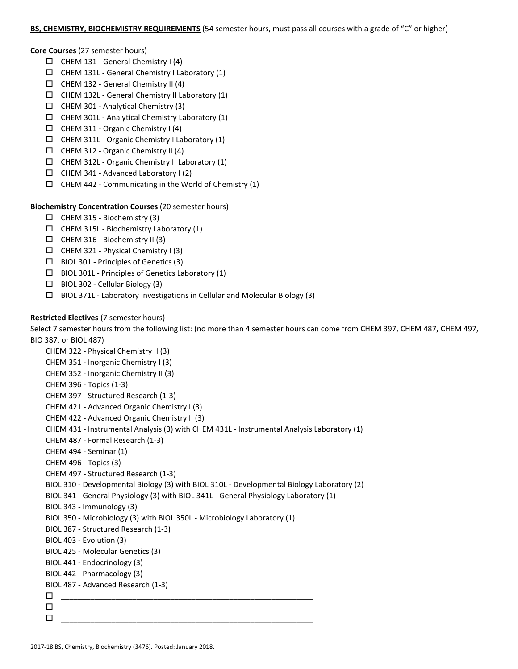#### **BS, CHEMISTRY, BIOCHEMISTRY REQUIREMENTS** (54 semester hours, must pass all courses with a grade of "C" or higher)

**Core Courses** (27 semester hours)

- $\Box$  CHEM 131 General Chemistry I (4)
- $\Box$  CHEM 131L General Chemistry I Laboratory (1)
- $\Box$  CHEM 132 General Chemistry II (4)
- $\Box$  CHEM 132L General Chemistry II Laboratory (1)
- $\Box$  CHEM 301 Analytical Chemistry (3)
- $\Box$  CHEM 301L Analytical Chemistry Laboratory (1)
- $\Box$  CHEM 311 Organic Chemistry I (4)
- $\Box$  CHEM 311L Organic Chemistry I Laboratory (1)
- CHEM 312 Organic Chemistry II (4)
- $\Box$  CHEM 312L Organic Chemistry II Laboratory (1)
- $\Box$  CHEM 341 Advanced Laboratory I (2)
- $\Box$  CHEM 442 Communicating in the World of Chemistry (1)

## **Biochemistry Concentration Courses** (20 semester hours)

- $\Box$  CHEM 315 Biochemistry (3)
- $\Box$  CHEM 315L Biochemistry Laboratory (1)
- $\Box$  CHEM 316 Biochemistry II (3)
- $\Box$  CHEM 321 Physical Chemistry I (3)
- $\square$  BIOL 301 Principles of Genetics (3)
- $\square$  BIOL 301L Principles of Genetics Laboratory (1)
- $\Box$  BIOL 302 Cellular Biology (3)
- $\Box$  BIOL 371L Laboratory Investigations in Cellular and Molecular Biology (3)

## **Restricted Electives** (7 semester hours)

Select 7 semester hours from the following list: (no more than 4 semester hours can come from CHEM 397, CHEM 487, CHEM 497, BIO 387, or BIOL 487)

```
CHEM 322 - Physical Chemistry II (3)
CHEM 351 - Inorganic Chemistry I (3)
CHEM 352 - Inorganic Chemistry II (3)
CHEM 396 - Topics (1-3)
CHEM 397 - Structured Research (1-3)
CHEM 421 - Advanced Organic Chemistry I (3)
CHEM 422 - Advanced Organic Chemistry II (3)
CHEM 431 - Instrumental Analysis (3) with CHEM 431L - Instrumental Analysis Laboratory (1)
CHEM 487 - Formal Research (1-3)
CHEM 494 - Seminar (1)
CHEM 496 - Topics (3)
CHEM 497 - Structured Research (1-3)
BIOL 310 - Developmental Biology (3) with BIOL 310L - Developmental Biology Laboratory (2)
BIOL 341 - General Physiology (3) with BIOL 341L - General Physiology Laboratory (1)
BIOL 343 - Immunology (3)
BIOL 350 - Microbiology (3) with BIOL 350L - Microbiology Laboratory (1) 
BIOL 387 - Structured Research (1-3)
BIOL 403 - Evolution (3)
BIOL 425 - Molecular Genetics (3)
BIOL 441 - Endocrinology (3)
BIOL 442 - Pharmacology (3)
BIOL 487 - Advanced Research (1-3)
 ____________________________________________________________
 ____________________________________________________________
\Box \underline{\hspace{1cm}} \underline{\hspace{1cm}} \underline{\hspace{1cm}} \underline{\hspace{1cm}} \overline{\hspace{1cm}} \overline{\hspace{1cm}} \overline{\hspace{1cm}} \overline{\hspace{1cm}} \overline{\hspace{1cm}} \overline{\hspace{1cm}} \overline{\hspace{1cm}} \overline{\hspace{1cm}} \overline{\hspace{1cm}} \overline{\hspace{1cm}} \overline{\hspace{1cm}} \overline{\hspace{1cm}} \overline{\hspace{1
```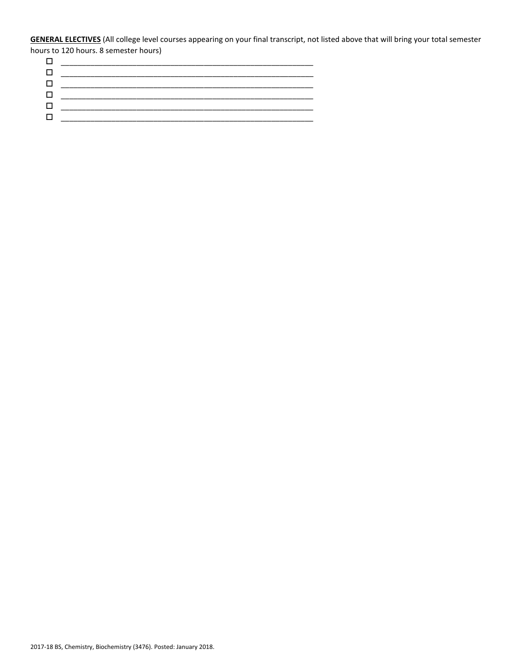**GENERAL ELECTIVES** (All college level courses appearing on your final transcript, not listed above that will bring your total semester hours to 120 hours. 8 semester hours)<br> $\Box$ 

| ويناول والمناصر تساميا فالمستحيل المترافقات المتحلة المترافق المتحلة تسامح أستراف المسامر فالمستحلة والمستحلة |
|---------------------------------------------------------------------------------------------------------------|
|                                                                                                               |
|                                                                                                               |
|                                                                                                               |
|                                                                                                               |
|                                                                                                               |